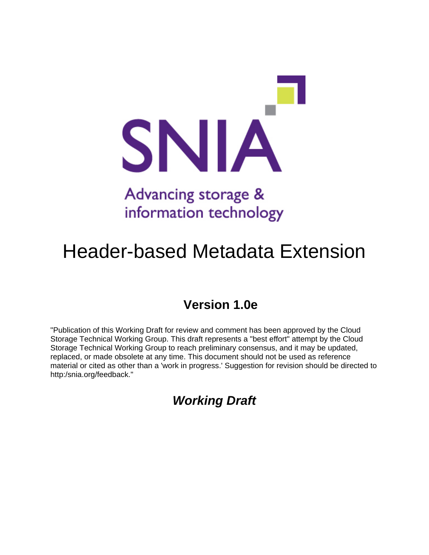

# Advancing storage & information technology

# Header-based Metadata Extension

# **Version 1.0e**

"Publication of this Working Draft for review and comment has been approved by the Cloud Storage Technical Working Group. This draft represents a "best effort" attempt by the Cloud Storage Technical Working Group to reach preliminary consensus, and it may be updated, replaced, or made obsolete at any time. This document should not be used as reference material or cited as other than a 'work in progress.' Suggestion for revision should be directed to http:/snia.org/feedback."

*Working Draft*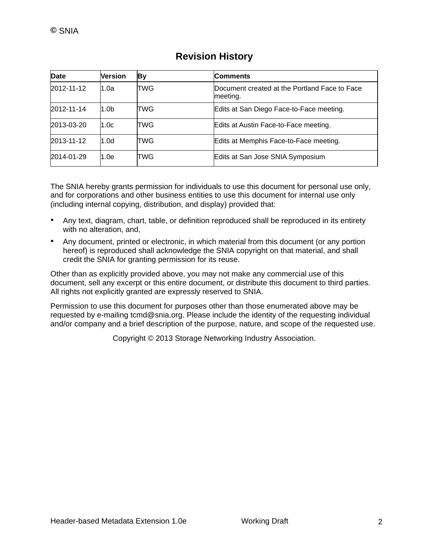| <b>Date</b> | Version          | By  | <b>Comments</b>                                           |  |
|-------------|------------------|-----|-----------------------------------------------------------|--|
| 2012-11-12  | 1.0a             | TWG | Document created at the Portland Face to Face<br>meeting. |  |
| 2012-11-14  | 1.0 <sub>b</sub> | TWG | Edits at San Diego Face-to-Face meeting.                  |  |
| 2013-03-20  | 1.0c             | TWG | Edits at Austin Face-to-Face meeting.                     |  |
| 2013-11-12  | 1.0 <sub>d</sub> | TWG | Edits at Memphis Face-to-Face meeting.                    |  |
| 2014-01-29  | 1.0e             | TWG | Edits at San Jose SNIA Symposium                          |  |

# **Revision History**

The SNIA hereby grants permission for individuals to use this document for personal use only, and for corporations and other business entities to use this document for internal use only (including internal copying, distribution, and display) provided that:

- Any text, diagram, chart, table, or definition reproduced shall be reproduced in its entirety with no alteration, and,
- Any document, printed or electronic, in which material from this document (or any portion hereof) is reproduced shall acknowledge the SNIA copyright on that material, and shall credit the SNIA for granting permission for its reuse.

Other than as explicitly provided above, you may not make any commercial use of this document, sell any excerpt or this entire document, or distribute this document to third parties. All rights not explicitly granted are expressly reserved to SNIA.

Permission to use this document for purposes other than those enumerated above may be requested by e-mailing tcmd@snia.org. Please include the identity of the requesting individual and/or company and a brief description of the purpose, nature, and scope of the requested use.

Copyright © 2013 Storage Networking Industry Association.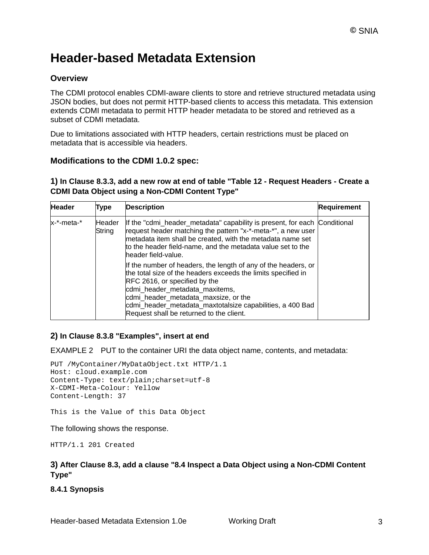# **Header-based Metadata Extension**

# **Overview**

The CDMI protocol enables CDMI-aware clients to store and retrieve structured metadata using JSON bodies, but does not permit HTTP-based clients to access this metadata. This extension extends CDMI metadata to permit HTTP header metadata to be stored and retrieved as a subset of CDMI metadata.

Due to limitations associated with HTTP headers, certain restrictions must be placed on metadata that is accessible via headers.

### **Modifications to the CDMI 1.0.2 spec:**

#### **1) In Clause 8.3.3, add a new row at end of table "Table 12 - Request Headers - Create a CDMI Data Object using a Non-CDMI Content Type"**

| <b>Header</b> | Type             | <b>Description</b>                                                                                                                                                                                                                                                                                                                                  | <b>Requirement</b> |
|---------------|------------------|-----------------------------------------------------------------------------------------------------------------------------------------------------------------------------------------------------------------------------------------------------------------------------------------------------------------------------------------------------|--------------------|
| x-*-meta-*    | Header<br>String | If the "cdmi_header_metadata" capability is present, for each Conditional<br>request header matching the pattern "x-*-meta-*", a new user<br>metadata item shall be created, with the metadata name set<br>to the header field-name, and the metadata value set to the<br>header field-value.                                                       |                    |
|               |                  | If the number of headers, the length of any of the headers, or<br>the total size of the headers exceeds the limits specified in<br>RFC 2616, or specified by the<br>cdmi_header_metadata_maxitems,<br>cdmi header metadata maxsize, or the<br>cdmi_header_metadata_maxtotalsize capabilities, a 400 Bad<br>Request shall be returned to the client. |                    |

### **2) In Clause 8.3.8 "Examples", insert at end**

EXAMPLE 2 PUT to the container URI the data object name, contents, and metadata:

```
PUT /MyContainer/MyDataObject.txt HTTP/1.1 
Host: cloud.example.com 
Content-Type: text/plain;charset=utf-8 
X-CDMI-Meta-Colour: Yellow 
Content-Length: 37
```
This is the Value of this Data Object

The following shows the response.

HTTP/1.1 201 Created

#### **3) After Clause 8.3, add a clause "8.4 Inspect a Data Object using a Non-CDMI Content Type"**

**8.4.1 Synopsis**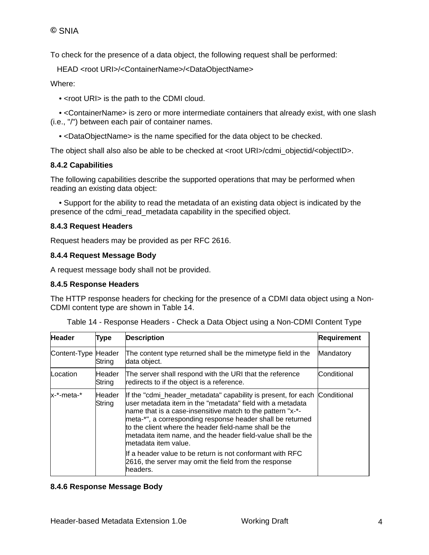To check for the presence of a data object, the following request shall be performed:

HEAD <root URI>/<ContainerName>/<DataObjectName>

Where:

• <root URI> is the path to the CDMI cloud.

 • <ContainerName> is zero or more intermediate containers that already exist, with one slash (i.e., "/") between each pair of container names.

• <DataObjectName> is the name specified for the data object to be checked.

The object shall also also be able to be checked at <root URI>/cdmi\_objectid/<objectID>.

#### **8.4.2 Capabilities**

The following capabilities describe the supported operations that may be performed when reading an existing data object:

 • Support for the ability to read the metadata of an existing data object is indicated by the presence of the cdmi\_read\_metadata capability in the specified object.

#### **8.4.3 Request Headers**

Request headers may be provided as per RFC 2616.

#### **8.4.4 Request Message Body**

A request message body shall not be provided.

#### **8.4.5 Response Headers**

The HTTP response headers for checking for the presence of a CDMI data object using a Non-CDMI content type are shown in Table 14.

| <b>Header</b>       | <b>Type</b>      | <b>Description</b>                                                                                                                                                                                                                                                                                                                                                                                                    | <b>Requirement</b> |
|---------------------|------------------|-----------------------------------------------------------------------------------------------------------------------------------------------------------------------------------------------------------------------------------------------------------------------------------------------------------------------------------------------------------------------------------------------------------------------|--------------------|
| Content-Type Header | String           | The content type returned shall be the mimetype field in the<br>data object.                                                                                                                                                                                                                                                                                                                                          | Mandatory          |
| Location            | Header<br>String | The server shall respond with the URI that the reference<br>redirects to if the object is a reference.                                                                                                                                                                                                                                                                                                                | <b>Conditional</b> |
| x-*-meta-*          | Header<br>String | If the "cdmi_header_metadata" capability is present, for each Conditional<br>luser metadata item in the "metadata" field with a metadata<br>name that is a case-insensitive match to the pattern "x-*-<br>meta-*", a corresponding response header shall be returned<br>to the client where the header field-name shall be the<br>metadata item name, and the header field-value shall be the<br>metadata item value. |                    |
|                     |                  | If a header value to be return is not conformant with RFC<br>2616, the server may omit the field from the response<br>headers.                                                                                                                                                                                                                                                                                        |                    |

Table 14 - Response Headers - Check a Data Object using a Non-CDMI Content Type

#### **8.4.6 Response Message Body**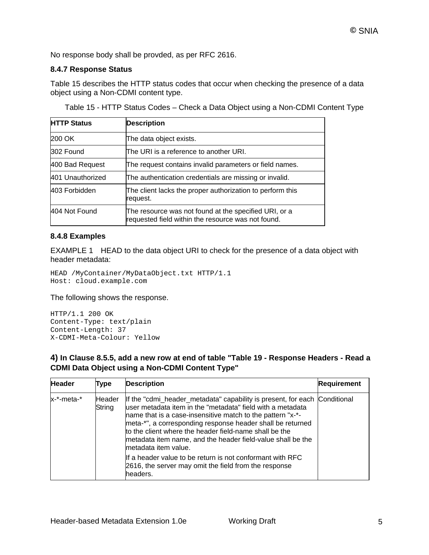No response body shall be provded, as per RFC 2616.

#### **8.4.7 Response Status**

Table 15 describes the HTTP status codes that occur when checking the presence of a data object using a Non-CDMI content type.

| <b>HTTP Status</b>                                                         | <b>Description</b>                                                                                          |  |
|----------------------------------------------------------------------------|-------------------------------------------------------------------------------------------------------------|--|
| 200 OK                                                                     | The data object exists.                                                                                     |  |
| 302 Found                                                                  | The URI is a reference to another URI.                                                                      |  |
| 400 Bad Request                                                            | The request contains invalid parameters or field names.                                                     |  |
| 401 Unauthorized<br>The authentication credentials are missing or invalid. |                                                                                                             |  |
| 403 Forbidden                                                              | The client lacks the proper authorization to perform this<br>request.                                       |  |
| 404 Not Found                                                              | The resource was not found at the specified URI, or a<br>requested field within the resource was not found. |  |

Table 15 - HTTP Status Codes – Check a Data Object using a Non-CDMI Content Type

#### **8.4.8 Examples**

EXAMPLE 1 HEAD to the data object URI to check for the presence of a data object with header metadata:

```
HEAD /MyContainer/MyDataObject.txt HTTP/1.1 
Host: cloud.example.com
```
The following shows the response.

HTTP/1.1 200 OK Content-Type: text/plain Content-Length: 37 X-CDMI-Meta-Colour: Yellow

**4) In Clause 8.5.5, add a new row at end of table "Table 19 - Response Headers - Read a CDMI Data Object using a Non-CDMI Content Type"**

| <b>Header</b> | Type             | <b>Description</b>                                                                                                                                                                                                                                                                                                                                                                                                   | <b>Requirement</b> |
|---------------|------------------|----------------------------------------------------------------------------------------------------------------------------------------------------------------------------------------------------------------------------------------------------------------------------------------------------------------------------------------------------------------------------------------------------------------------|--------------------|
| x-*-meta-*    | Header<br>String | If the "cdmi_header_metadata" capability is present, for each Conditional<br>user metadata item in the "metadata" field with a metadata<br>name that is a case-insensitive match to the pattern "x-*-<br>meta-*", a corresponding response header shall be returned<br>to the client where the header field-name shall be the<br>metadata item name, and the header field-value shall be the<br>metadata item value. |                    |
|               |                  | If a header value to be return is not conformant with RFC<br>2616, the server may omit the field from the response<br>headers.                                                                                                                                                                                                                                                                                       |                    |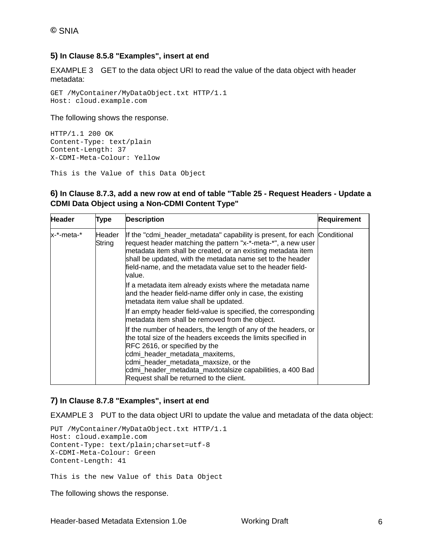#### **5) In Clause 8.5.8 "Examples", insert at end**

EXAMPLE 3 GET to the data object URI to read the value of the data object with header metadata:

GET /MyContainer/MyDataObject.txt HTTP/1.1 Host: cloud.example.com

The following shows the response.

```
HTTP/1.1 200 OK 
Content-Type: text/plain 
Content-Length: 37 
X-CDMI-Meta-Colour: Yellow
```
This is the Value of this Data Object

#### **6) In Clause 8.7.3, add a new row at end of table "Table 25 - Request Headers - Update a CDMI Data Object using a Non-CDMI Content Type"**

| <b>Header</b> | Type                                                                                                                                                                                                                         | <b>Description</b>                                                                                                                                                                                                                                                                                                                               | Requirement |
|---------------|------------------------------------------------------------------------------------------------------------------------------------------------------------------------------------------------------------------------------|--------------------------------------------------------------------------------------------------------------------------------------------------------------------------------------------------------------------------------------------------------------------------------------------------------------------------------------------------|-------------|
| x-*-meta-*    | Header<br>String                                                                                                                                                                                                             | If the "cdmi_header_metadata" capability is present, for each Conditional<br>request header matching the pattern "x-*-meta-*", a new user<br>metadata item shall be created, or an existing metadata item<br>shall be updated, with the metadata name set to the header<br>field-name, and the metadata value set to the header field-<br>value. |             |
|               |                                                                                                                                                                                                                              | If a metadata item already exists where the metadata name<br>and the header field-name differ only in case, the existing<br>metadata item value shall be updated.                                                                                                                                                                                |             |
|               | If an empty header field-value is specified, the corresponding<br>metadata item shall be removed from the object.<br>RFC 2616, or specified by the<br>cdmi_header_metadata_maxitems,<br>cdmi_header_metadata_maxsize, or the |                                                                                                                                                                                                                                                                                                                                                  |             |
|               |                                                                                                                                                                                                                              | If the number of headers, the length of any of the headers, or<br>the total size of the headers exceeds the limits specified in<br>cdmi_header_metadata_maxtotalsize capabilities, a 400 Bad<br>Request shall be returned to the client.                                                                                                         |             |

### **7) In Clause 8.7.8 "Examples", insert at end**

EXAMPLE 3 PUT to the data object URI to update the value and metadata of the data object:

```
PUT /MyContainer/MyDataObject.txt HTTP/1.1 
Host: cloud.example.com 
Content-Type: text/plain;charset=utf-8 
X-CDMI-Meta-Colour: Green 
Content-Length: 41
```
This is the new Value of this Data Object

The following shows the response.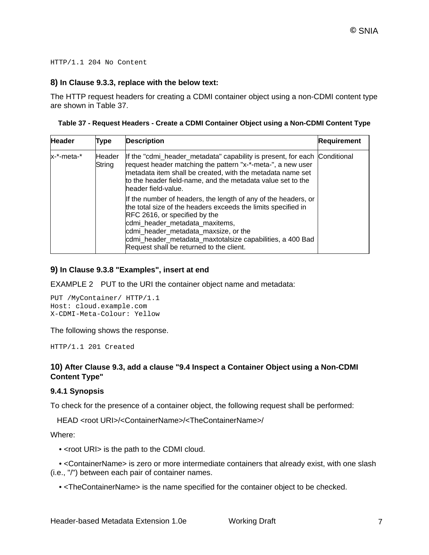#### HTTP/1.1 204 No Content

#### **8) In Clause 9.3.3, replace with the below text:**

The HTTP request headers for creating a CDMI container object using a non-CDMI content type are shown in Table 37.

| Table 37 - Request Headers - Create a CDMI Container Object using a Non-CDMI Content Type |  |  |  |  |  |  |  |
|-------------------------------------------------------------------------------------------|--|--|--|--|--|--|--|
|-------------------------------------------------------------------------------------------|--|--|--|--|--|--|--|

| <b>Header</b> | Type             | <b>Description</b>                                                                                                                                                                                                                                                                                                                                         | <b>Requirement</b> |
|---------------|------------------|------------------------------------------------------------------------------------------------------------------------------------------------------------------------------------------------------------------------------------------------------------------------------------------------------------------------------------------------------------|--------------------|
| x-*-meta-*    | Header<br>String | If the "cdmi_header_metadata" capability is present, for each Conditional<br>request header matching the pattern "x-*-meta-", a new user<br>metadata item shall be created, with the metadata name set<br>to the header field-name, and the metadata value set to the<br>header field-value.                                                               |                    |
|               |                  | If the number of headers, the length of any of the headers, or<br>the total size of the headers exceeds the limits specified in<br><b>RFC 2616, or specified by the</b><br>cdmi_header_metadata_maxitems,<br>cdmi_header_metadata_maxsize, or the<br>cdmi_header_metadata_maxtotalsize capabilities, a 400 Bad<br>Request shall be returned to the client. |                    |

#### **9) In Clause 9.3.8 "Examples", insert at end**

EXAMPLE 2 PUT to the URI the container object name and metadata:

PUT /MyContainer/ HTTP/1.1 Host: cloud.example.com X-CDMI-Meta-Colour: Yellow

The following shows the response.

HTTP/1.1 201 Created

#### **10) After Clause 9.3, add a clause "9.4 Inspect a Container Object using a Non-CDMI Content Type"**

#### **9.4.1 Synopsis**

To check for the presence of a container object, the following request shall be performed:

HEAD <root URI>/<ContainerName>/<TheContainerName>/

Where:

• <root URI> is the path to the CDMI cloud.

 • <ContainerName> is zero or more intermediate containers that already exist, with one slash (i.e., "/") between each pair of container names.

• <TheContainerName> is the name specified for the container object to be checked.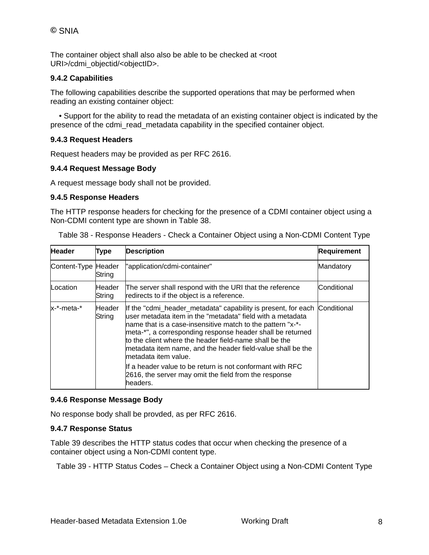The container object shall also also be able to be checked at <root URI>/cdmi\_objectid/<objectID>.

#### **9.4.2 Capabilities**

The following capabilities describe the supported operations that may be performed when reading an existing container object:

 • Support for the ability to read the metadata of an existing container object is indicated by the presence of the cdmi\_read\_metadata capability in the specified container object.

#### **9.4.3 Request Headers**

Request headers may be provided as per RFC 2616.

#### **9.4.4 Request Message Body**

A request message body shall not be provided.

#### **9.4.5 Response Headers**

The HTTP response headers for checking for the presence of a CDMI container object using a Non-CDMI content type are shown in Table 38.

| <b>Header</b>       | <b>Type</b>      | <b>Description</b>                                                                                                                                                                                                                                                                                                                                                                                                                                                                                                              | <b>Requirement</b> |
|---------------------|------------------|---------------------------------------------------------------------------------------------------------------------------------------------------------------------------------------------------------------------------------------------------------------------------------------------------------------------------------------------------------------------------------------------------------------------------------------------------------------------------------------------------------------------------------|--------------------|
| Content-Type Header | String           | "application/cdmi-container"                                                                                                                                                                                                                                                                                                                                                                                                                                                                                                    | Mandatory          |
| Location            | Header<br>String | The server shall respond with the URI that the reference<br>redirects to if the object is a reference.                                                                                                                                                                                                                                                                                                                                                                                                                          | Conditional        |
| x-*-meta-*          | Header<br>String | If the "cdmi_header_metadata" capability is present, for each<br>luser metadata item in the "metadata" field with a metadata<br>name that is a case-insensitive match to the pattern "x-*-<br>meta-*", a corresponding response header shall be returned<br>to the client where the header field-name shall be the<br>metadata item name, and the header field-value shall be the<br>metadata item value.<br>If a header value to be return is not conformant with RFC<br>2616, the server may omit the field from the response | Conditional        |

Table 38 - Response Headers - Check a Container Object using a Non-CDMI Content Type

#### **9.4.6 Response Message Body**

No response body shall be provded, as per RFC 2616.

#### **9.4.7 Response Status**

Table 39 describes the HTTP status codes that occur when checking the presence of a container object using a Non-CDMI content type.

Table 39 - HTTP Status Codes – Check a Container Object using a Non-CDMI Content Type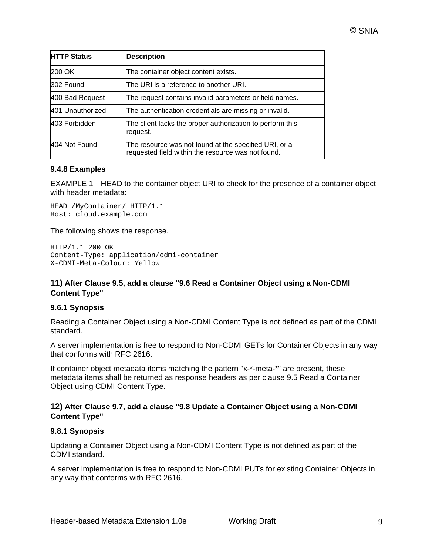| <b>HTTP Status</b> | <b>Description</b>                                                                                          |
|--------------------|-------------------------------------------------------------------------------------------------------------|
| 200 OK             | The container object content exists.                                                                        |
| 302 Found          | The URI is a reference to another URI.                                                                      |
| 400 Bad Request    | The request contains invalid parameters or field names.                                                     |
| 401 Unauthorized   | The authentication credentials are missing or invalid.                                                      |
| 403 Forbidden      | The client lacks the proper authorization to perform this<br>request.                                       |
| 404 Not Found      | The resource was not found at the specified URI, or a<br>requested field within the resource was not found. |

#### **9.4.8 Examples**

EXAMPLE 1 HEAD to the container object URI to check for the presence of a container object with header metadata:

HEAD /MyContainer/ HTTP/1.1 Host: cloud.example.com

The following shows the response.

```
HTTP/1.1 200 OK 
Content-Type: application/cdmi-container 
X-CDMI-Meta-Colour: Yellow
```
#### **11) After Clause 9.5, add a clause "9.6 Read a Container Object using a Non-CDMI Content Type"**

#### **9.6.1 Synopsis**

Reading a Container Object using a Non-CDMI Content Type is not defined as part of the CDMI standard.

A server implementation is free to respond to Non-CDMI GETs for Container Objects in any way that conforms with RFC 2616.

If container object metadata items matching the pattern "x-\*-meta-\*" are present, these metadata items shall be returned as response headers as per clause 9.5 Read a Container Object using CDMI Content Type.

#### **12) After Clause 9.7, add a clause "9.8 Update a Container Object using a Non-CDMI Content Type"**

#### **9.8.1 Synopsis**

Updating a Container Object using a Non-CDMI Content Type is not defined as part of the CDMI standard.

A server implementation is free to respond to Non-CDMI PUTs for existing Container Objects in any way that conforms with RFC 2616.